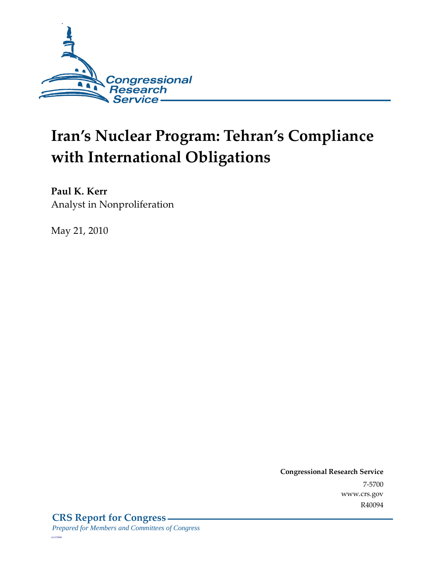

# **Iran's Nuclear Program: Tehran's Compliance with International Obligations**

**Paul K. Kerr**  Analyst in Nonproliferation

May 21, 2010

**Congressional Research Service** 7-5700 www.crs.gov R40094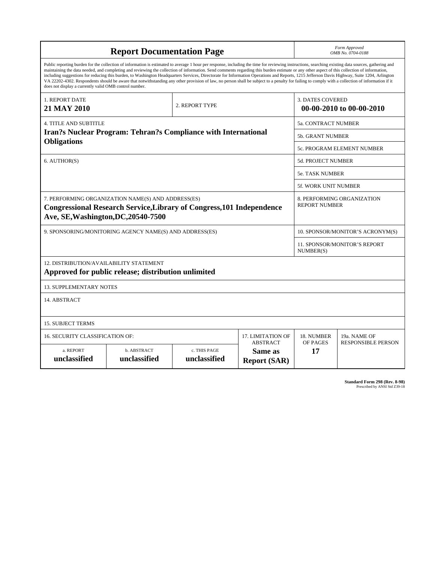| <b>Report Documentation Page</b>                                                                                                                                                                                                                                                                                                                                                                                                                                                                                                                                                                                                                                                                                                                                                                                                                                   |                             |                              |                                                   |                                                     | Form Approved<br>OMB No. 0704-0188               |  |
|--------------------------------------------------------------------------------------------------------------------------------------------------------------------------------------------------------------------------------------------------------------------------------------------------------------------------------------------------------------------------------------------------------------------------------------------------------------------------------------------------------------------------------------------------------------------------------------------------------------------------------------------------------------------------------------------------------------------------------------------------------------------------------------------------------------------------------------------------------------------|-----------------------------|------------------------------|---------------------------------------------------|-----------------------------------------------------|--------------------------------------------------|--|
| Public reporting burden for the collection of information is estimated to average 1 hour per response, including the time for reviewing instructions, searching existing data sources, gathering and<br>maintaining the data needed, and completing and reviewing the collection of information. Send comments regarding this burden estimate or any other aspect of this collection of information,<br>including suggestions for reducing this burden, to Washington Headquarters Services, Directorate for Information Operations and Reports, 1215 Jefferson Davis Highway, Suite 1204, Arlington<br>VA 22202-4302. Respondents should be aware that notwithstanding any other provision of law, no person shall be subject to a penalty for failing to comply with a collection of information if it<br>does not display a currently valid OMB control number. |                             |                              |                                                   |                                                     |                                                  |  |
| 1. REPORT DATE<br>21 MAY 2010                                                                                                                                                                                                                                                                                                                                                                                                                                                                                                                                                                                                                                                                                                                                                                                                                                      | 2. REPORT TYPE              |                              |                                                   | <b>3. DATES COVERED</b><br>00-00-2010 to 00-00-2010 |                                                  |  |
| <b>4. TITLE AND SUBTITLE</b>                                                                                                                                                                                                                                                                                                                                                                                                                                                                                                                                                                                                                                                                                                                                                                                                                                       |                             |                              |                                                   |                                                     | 5a. CONTRACT NUMBER                              |  |
| <b>Iran?s Nuclear Program: Tehran?s Compliance with International</b>                                                                                                                                                                                                                                                                                                                                                                                                                                                                                                                                                                                                                                                                                                                                                                                              |                             |                              |                                                   | <b>5b. GRANT NUMBER</b>                             |                                                  |  |
| <b>Obligations</b>                                                                                                                                                                                                                                                                                                                                                                                                                                                                                                                                                                                                                                                                                                                                                                                                                                                 |                             |                              |                                                   | 5c. PROGRAM ELEMENT NUMBER                          |                                                  |  |
| 6. AUTHOR(S)                                                                                                                                                                                                                                                                                                                                                                                                                                                                                                                                                                                                                                                                                                                                                                                                                                                       |                             |                              |                                                   | 5d. PROJECT NUMBER                                  |                                                  |  |
|                                                                                                                                                                                                                                                                                                                                                                                                                                                                                                                                                                                                                                                                                                                                                                                                                                                                    |                             |                              |                                                   | <b>5e. TASK NUMBER</b>                              |                                                  |  |
|                                                                                                                                                                                                                                                                                                                                                                                                                                                                                                                                                                                                                                                                                                                                                                                                                                                                    |                             |                              |                                                   | <b>5f. WORK UNIT NUMBER</b>                         |                                                  |  |
| 7. PERFORMING ORGANIZATION NAME(S) AND ADDRESS(ES)<br><b>Congressional Research Service, Library of Congress, 101 Independence</b><br>Ave, SE, Washington, DC, 20540-7500                                                                                                                                                                                                                                                                                                                                                                                                                                                                                                                                                                                                                                                                                          |                             |                              |                                                   | 8. PERFORMING ORGANIZATION<br><b>REPORT NUMBER</b>  |                                                  |  |
| 9. SPONSORING/MONITORING AGENCY NAME(S) AND ADDRESS(ES)                                                                                                                                                                                                                                                                                                                                                                                                                                                                                                                                                                                                                                                                                                                                                                                                            |                             |                              |                                                   |                                                     | 10. SPONSOR/MONITOR'S ACRONYM(S)                 |  |
|                                                                                                                                                                                                                                                                                                                                                                                                                                                                                                                                                                                                                                                                                                                                                                                                                                                                    |                             |                              |                                                   |                                                     | <b>11. SPONSOR/MONITOR'S REPORT</b><br>NUMBER(S) |  |
| 12. DISTRIBUTION/AVAILABILITY STATEMENT<br>Approved for public release; distribution unlimited                                                                                                                                                                                                                                                                                                                                                                                                                                                                                                                                                                                                                                                                                                                                                                     |                             |                              |                                                   |                                                     |                                                  |  |
| <b>13. SUPPLEMENTARY NOTES</b>                                                                                                                                                                                                                                                                                                                                                                                                                                                                                                                                                                                                                                                                                                                                                                                                                                     |                             |                              |                                                   |                                                     |                                                  |  |
| 14. ABSTRACT                                                                                                                                                                                                                                                                                                                                                                                                                                                                                                                                                                                                                                                                                                                                                                                                                                                       |                             |                              |                                                   |                                                     |                                                  |  |
| <b>15. SUBJECT TERMS</b>                                                                                                                                                                                                                                                                                                                                                                                                                                                                                                                                                                                                                                                                                                                                                                                                                                           |                             |                              |                                                   |                                                     |                                                  |  |
| 16. SECURITY CLASSIFICATION OF:                                                                                                                                                                                                                                                                                                                                                                                                                                                                                                                                                                                                                                                                                                                                                                                                                                    | 17. LIMITATION OF           | 18. NUMBER                   | 19a. NAME OF                                      |                                                     |                                                  |  |
| a. REPORT<br>unclassified                                                                                                                                                                                                                                                                                                                                                                                                                                                                                                                                                                                                                                                                                                                                                                                                                                          | b. ABSTRACT<br>unclassified | c. THIS PAGE<br>unclassified | <b>ABSTRACT</b><br>Same as<br><b>Report (SAR)</b> | OF PAGES<br>17                                      | <b>RESPONSIBLE PERSON</b>                        |  |

**Standard Form 298 (Rev. 8-98)**<br>Prescribed by ANSI Std Z39-18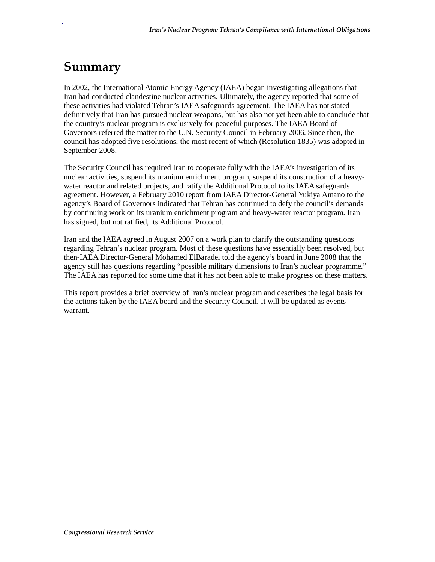### **Summary**

.

In 2002, the International Atomic Energy Agency (IAEA) began investigating allegations that Iran had conducted clandestine nuclear activities. Ultimately, the agency reported that some of these activities had violated Tehran's IAEA safeguards agreement. The IAEA has not stated definitively that Iran has pursued nuclear weapons, but has also not yet been able to conclude that the country's nuclear program is exclusively for peaceful purposes. The IAEA Board of Governors referred the matter to the U.N. Security Council in February 2006. Since then, the council has adopted five resolutions, the most recent of which (Resolution 1835) was adopted in September 2008.

The Security Council has required Iran to cooperate fully with the IAEA's investigation of its nuclear activities, suspend its uranium enrichment program, suspend its construction of a heavywater reactor and related projects, and ratify the Additional Protocol to its IAEA safeguards agreement. However, a February 2010 report from IAEA Director-General Yukiya Amano to the agency's Board of Governors indicated that Tehran has continued to defy the council's demands by continuing work on its uranium enrichment program and heavy-water reactor program. Iran has signed, but not ratified, its Additional Protocol.

Iran and the IAEA agreed in August 2007 on a work plan to clarify the outstanding questions regarding Tehran's nuclear program. Most of these questions have essentially been resolved, but then-IAEA Director-General Mohamed ElBaradei told the agency's board in June 2008 that the agency still has questions regarding "possible military dimensions to Iran's nuclear programme." The IAEA has reported for some time that it has not been able to make progress on these matters.

This report provides a brief overview of Iran's nuclear program and describes the legal basis for the actions taken by the IAEA board and the Security Council. It will be updated as events warrant.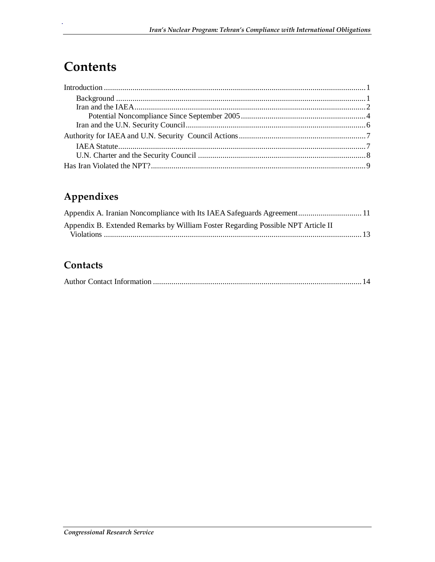### **Contents**

.

### **Appendixes**

| Appendix A. Iranian Noncompliance with Its IAEA Safeguards Agreement 11          |  |
|----------------------------------------------------------------------------------|--|
| Appendix B. Extended Remarks by William Foster Regarding Possible NPT Article II |  |
|                                                                                  |  |

#### **Contacts**

|--|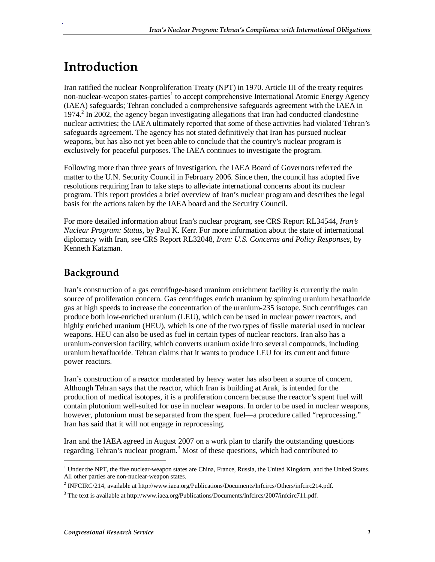### **Introduction**

.

Iran ratified the nuclear Nonproliferation Treaty (NPT) in 1970. Article III of the treaty requires non-nuclear-weapon states-parties<sup>1</sup> to accept comprehensive International Atomic Energy Agency (IAEA) safeguards; Tehran concluded a comprehensive safeguards agreement with the IAEA in 1974.<sup>2</sup> In 2002, the agency began investigating allegations that Iran had conducted clandestine nuclear activities; the IAEA ultimately reported that some of these activities had violated Tehran's safeguards agreement. The agency has not stated definitively that Iran has pursued nuclear weapons, but has also not yet been able to conclude that the country's nuclear program is exclusively for peaceful purposes. The IAEA continues to investigate the program.

Following more than three years of investigation, the IAEA Board of Governors referred the matter to the U.N. Security Council in February 2006. Since then, the council has adopted five resolutions requiring Iran to take steps to alleviate international concerns about its nuclear program. This report provides a brief overview of Iran's nuclear program and describes the legal basis for the actions taken by the IAEA board and the Security Council.

For more detailed information about Iran's nuclear program, see CRS Report RL34544, *Iran's Nuclear Program: Status*, by Paul K. Kerr. For more information about the state of international diplomacy with Iran, see CRS Report RL32048, *Iran: U.S. Concerns and Policy Responses*, by Kenneth Katzman.

#### **Background**

Iran's construction of a gas centrifuge-based uranium enrichment facility is currently the main source of proliferation concern. Gas centrifuges enrich uranium by spinning uranium hexafluoride gas at high speeds to increase the concentration of the uranium-235 isotope. Such centrifuges can produce both low-enriched uranium (LEU), which can be used in nuclear power reactors, and highly enriched uranium (HEU), which is one of the two types of fissile material used in nuclear weapons. HEU can also be used as fuel in certain types of nuclear reactors. Iran also has a uranium-conversion facility, which converts uranium oxide into several compounds, including uranium hexafluoride. Tehran claims that it wants to produce LEU for its current and future power reactors.

Iran's construction of a reactor moderated by heavy water has also been a source of concern. Although Tehran says that the reactor, which Iran is building at Arak, is intended for the production of medical isotopes, it is a proliferation concern because the reactor's spent fuel will contain plutonium well-suited for use in nuclear weapons. In order to be used in nuclear weapons, however, plutonium must be separated from the spent fuel—a procedure called "reprocessing." Iran has said that it will not engage in reprocessing.

Iran and the IAEA agreed in August 2007 on a work plan to clarify the outstanding questions regarding Tehran's nuclear program.<sup>3</sup> Most of these questions, which had contributed to

1

<sup>&</sup>lt;sup>1</sup> Under the NPT, the five nuclear-weapon states are China, France, Russia, the United Kingdom, and the United States. All other parties are non-nuclear-weapon states.

<sup>&</sup>lt;sup>2</sup> INFCIRC/214, available at http://www.iaea.org/Publications/Documents/Infcircs/Others/infcirc214.pdf.

<sup>&</sup>lt;sup>3</sup> The text is available at http://www.iaea.org/Publications/Documents/Infcircs/2007/infcirc711.pdf.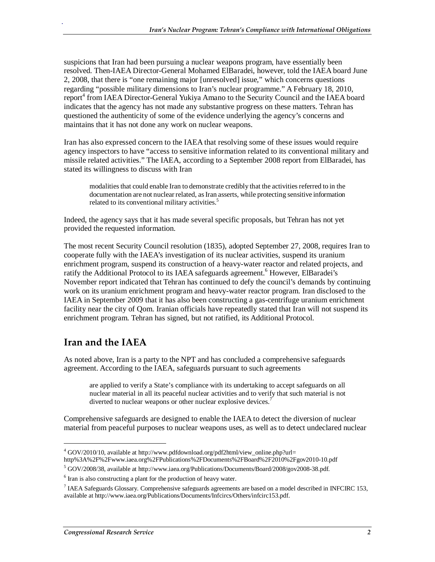suspicions that Iran had been pursuing a nuclear weapons program, have essentially been resolved. Then-IAEA Director-General Mohamed ElBaradei, however, told the IAEA board June 2, 2008, that there is "one remaining major [unresolved] issue," which concerns questions regarding "possible military dimensions to Iran's nuclear programme." A February 18, 2010, report<sup>4</sup> from IAEA Director-General Yukiya Amano to the Security Council and the IAEA board indicates that the agency has not made any substantive progress on these matters. Tehran has questioned the authenticity of some of the evidence underlying the agency's concerns and maintains that it has not done any work on nuclear weapons.

Iran has also expressed concern to the IAEA that resolving some of these issues would require agency inspectors to have "access to sensitive information related to its conventional military and missile related activities." The IAEA, according to a September 2008 report from ElBaradei, has stated its willingness to discuss with Iran

modalities that could enable Iran to demonstrate credibly that the activities referred to in the documentation are not nuclear related, as Iran asserts, while protecting sensitive information related to its conventional military activities.<sup>5</sup>

Indeed, the agency says that it has made several specific proposals, but Tehran has not yet provided the requested information.

The most recent Security Council resolution (1835), adopted September 27, 2008, requires Iran to cooperate fully with the IAEA's investigation of its nuclear activities, suspend its uranium enrichment program, suspend its construction of a heavy-water reactor and related projects, and ratify the Additional Protocol to its IAEA safeguards agreement.<sup>6</sup> However, ElBaradei's November report indicated that Tehran has continued to defy the council's demands by continuing work on its uranium enrichment program and heavy-water reactor program. Iran disclosed to the IAEA in September 2009 that it has also been constructing a gas-centrifuge uranium enrichment facility near the city of Qom. Iranian officials have repeatedly stated that Iran will not suspend its enrichment program. Tehran has signed, but not ratified, its Additional Protocol.

#### **Iran and the IAEA**

<u>.</u>

.

As noted above, Iran is a party to the NPT and has concluded a comprehensive safeguards agreement. According to the IAEA, safeguards pursuant to such agreements

are applied to verify a State's compliance with its undertaking to accept safeguards on all nuclear material in all its peaceful nuclear activities and to verify that such material is not diverted to nuclear weapons or other nuclear explosive devices.<sup>7</sup>

Comprehensive safeguards are designed to enable the IAEA to detect the diversion of nuclear material from peaceful purposes to nuclear weapons uses, as well as to detect undeclared nuclear

http%3A%2F%2Fwww.iaea.org%2FPublications%2FDocuments%2FBoard%2F2010%2Fgov2010-10.pdf

<sup>&</sup>lt;sup>4</sup> GOV/2010/10, available at http://www.pdfdownload.org/pdf2html/view\_online.php?url=

<sup>&</sup>lt;sup>5</sup> GOV/2008/38, available at http://www.iaea.org/Publications/Documents/Board/2008/gov2008-38.pdf.

 $6$  Iran is also constructing a plant for the production of heavy water.

<sup>&</sup>lt;sup>7</sup> IAEA Safeguards Glossary. Comprehensive safeguards agreements are based on a model described in INFCIRC 153, available at http://www.iaea.org/Publications/Documents/Infcircs/Others/infcirc153.pdf.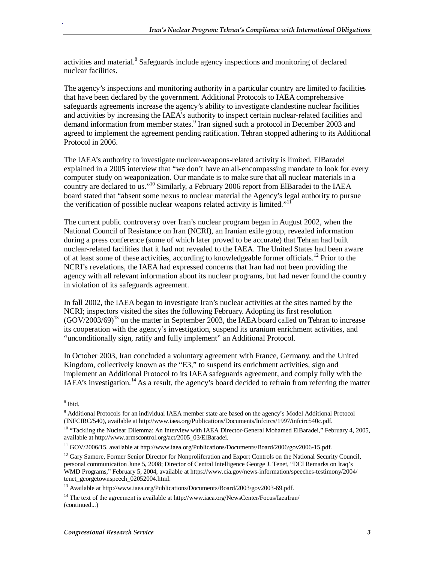activities and material.<sup>8</sup> Safeguards include agency inspections and monitoring of declared nuclear facilities.

The agency's inspections and monitoring authority in a particular country are limited to facilities that have been declared by the government. Additional Protocols to IAEA comprehensive safeguards agreements increase the agency's ability to investigate clandestine nuclear facilities and activities by increasing the IAEA's authority to inspect certain nuclear-related facilities and demand information from member states.<sup>9</sup> Iran signed such a protocol in December 2003 and agreed to implement the agreement pending ratification. Tehran stopped adhering to its Additional Protocol in 2006.

The IAEA's authority to investigate nuclear-weapons-related activity is limited. ElBaradei explained in a 2005 interview that "we don't have an all-encompassing mandate to look for every computer study on weaponization. Our mandate is to make sure that all nuclear materials in a country are declared to us."<sup>10</sup> Similarly, a February 2006 report from ElBaradei to the IAEA board stated that "absent some nexus to nuclear material the Agency's legal authority to pursue the verification of possible nuclear weapons related activity is limited."<sup>11</sup>

The current public controversy over Iran's nuclear program began in August 2002, when the National Council of Resistance on Iran (NCRI), an Iranian exile group, revealed information during a press conference (some of which later proved to be accurate) that Tehran had built nuclear-related facilities that it had not revealed to the IAEA. The United States had been aware of at least some of these activities, according to knowledgeable former officials.<sup>12</sup> Prior to the NCRI's revelations, the IAEA had expressed concerns that Iran had not been providing the agency with all relevant information about its nuclear programs, but had never found the country in violation of its safeguards agreement.

In fall 2002, the IAEA began to investigate Iran's nuclear activities at the sites named by the NCRI; inspectors visited the sites the following February. Adopting its first resolution  $(GOV/2003/69)^{13}$  on the matter in September 2003, the IAEA board called on Tehran to increase its cooperation with the agency's investigation, suspend its uranium enrichment activities, and "unconditionally sign, ratify and fully implement" an Additional Protocol.

In October 2003, Iran concluded a voluntary agreement with France, Germany, and the United Kingdom, collectively known as the "E3," to suspend its enrichment activities, sign and implement an Additional Protocol to its IAEA safeguards agreement, and comply fully with the IAEA's investigation.<sup>14</sup> As a result, the agency's board decided to refrain from referring the matter

<u>.</u>

<sup>8</sup> Ibid.

<sup>&</sup>lt;sup>9</sup> Additional Protocols for an individual IAEA member state are based on the agency's Model Additional Protocol (INFCIRC/540), available at http://www.iaea.org/Publications/Documents/Infcircs/1997/infcirc540c.pdf.

<sup>&</sup>lt;sup>10</sup> "Tackling the Nuclear Dilemma: An Interview with IAEA Director-General Mohamed ElBaradei," February 4, 2005, available at http://www.armscontrol.org/act/2005\_03/ElBaradei.

<sup>&</sup>lt;sup>11</sup> GOV/2006/15, available at http://www.iaea.org/Publications/Documents/Board/2006/gov2006-15.pdf.

<sup>&</sup>lt;sup>12</sup> Gary Samore, Former Senior Director for Nonproliferation and Export Controls on the National Security Council, personal communication June 5, 2008; Director of Central Intelligence George J. Tenet, "DCI Remarks on Iraq's WMD Programs," February 5, 2004, available at https://www.cia.gov/news-information/speeches-testimony/2004/ tenet\_georgetownspeech\_02052004.html.

<sup>&</sup>lt;sup>13</sup> Available at http://www.iaea.org/Publications/Documents/Board/2003/gov2003-69.pdf.

<sup>&</sup>lt;sup>14</sup> The text of the agreement is available at http://www.iaea.org/NewsCenter/Focus/IaeaIran/ (continued...)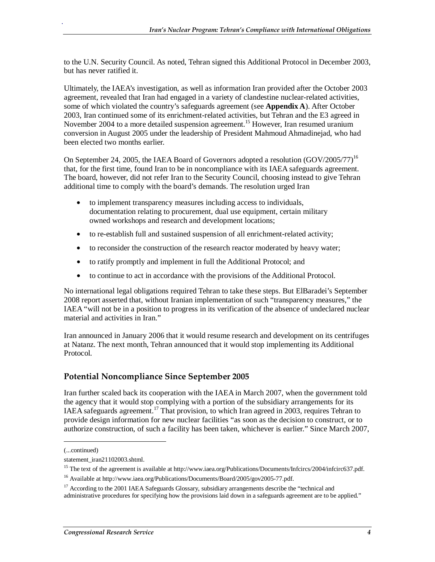to the U.N. Security Council. As noted, Tehran signed this Additional Protocol in December 2003, but has never ratified it.

Ultimately, the IAEA's investigation, as well as information Iran provided after the October 2003 agreement, revealed that Iran had engaged in a variety of clandestine nuclear-related activities, some of which violated the country's safeguards agreement (see **Appendix A**). After October 2003, Iran continued some of its enrichment-related activities, but Tehran and the E3 agreed in November 2004 to a more detailed suspension agreement.<sup>15</sup> However, Iran resumed uranium conversion in August 2005 under the leadership of President Mahmoud Ahmadinejad, who had been elected two months earlier.

On September 24, 2005, the IAEA Board of Governors adopted a resolution (GOV/2005/77)<sup>16</sup> that, for the first time, found Iran to be in noncompliance with its IAEA safeguards agreement. The board, however, did not refer Iran to the Security Council, choosing instead to give Tehran additional time to comply with the board's demands. The resolution urged Iran

- to implement transparency measures including access to individuals, documentation relating to procurement, dual use equipment, certain military owned workshops and research and development locations;
- to re-establish full and sustained suspension of all enrichment-related activity;
- to reconsider the construction of the research reactor moderated by heavy water;
- to ratify promptly and implement in full the Additional Protocol; and
- to continue to act in accordance with the provisions of the Additional Protocol.

No international legal obligations required Tehran to take these steps. But ElBaradei's September 2008 report asserted that, without Iranian implementation of such "transparency measures," the IAEA "will not be in a position to progress in its verification of the absence of undeclared nuclear material and activities in Iran."

Iran announced in January 2006 that it would resume research and development on its centrifuges at Natanz. The next month, Tehran announced that it would stop implementing its Additional Protocol.

#### **Potential Noncompliance Since September 2005**

Iran further scaled back its cooperation with the IAEA in March 2007, when the government told the agency that it would stop complying with a portion of the subsidiary arrangements for its IAEA safeguards agreement.<sup>17</sup> That provision, to which Iran agreed in 2003, requires Tehran to provide design information for new nuclear facilities "as soon as the decision to construct, or to authorize construction, of such a facility has been taken, whichever is earlier." Since March 2007,

1

<sup>(...</sup>continued)

statement\_iran21102003.shtml.

<sup>&</sup>lt;sup>15</sup> The text of the agreement is available at http://www.iaea.org/Publications/Documents/Infcircs/2004/infcirc637.pdf.

<sup>&</sup>lt;sup>16</sup> Available at http://www.iaea.org/Publications/Documents/Board/2005/gov2005-77.pdf.

<sup>&</sup>lt;sup>17</sup> According to the 2001 IAEA Safeguards Glossary, subsidiary arrangements describe the "technical and administrative procedures for specifying how the provisions laid down in a safeguards agreement are to be applied."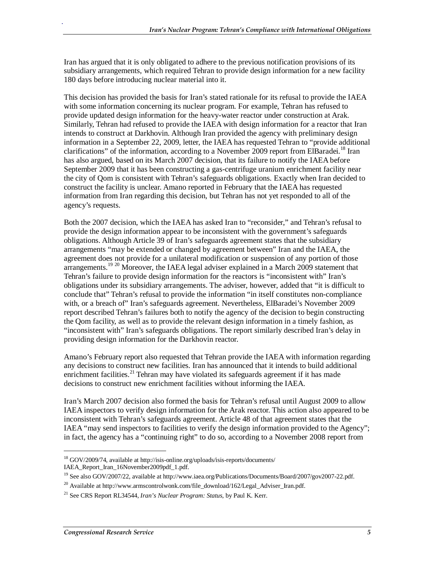Iran has argued that it is only obligated to adhere to the previous notification provisions of its subsidiary arrangements, which required Tehran to provide design information for a new facility 180 days before introducing nuclear material into it.

This decision has provided the basis for Iran's stated rationale for its refusal to provide the IAEA with some information concerning its nuclear program. For example, Tehran has refused to provide updated design information for the heavy-water reactor under construction at Arak. Similarly, Tehran had refused to provide the IAEA with design information for a reactor that Iran intends to construct at Darkhovin. Although Iran provided the agency with preliminary design information in a September 22, 2009, letter, the IAEA has requested Tehran to "provide additional clarifications" of the information, according to a November 2009 report from ElBaradei.<sup>18</sup> Iran has also argued, based on its March 2007 decision, that its failure to notify the IAEA before September 2009 that it has been constructing a gas-centrifuge uranium enrichment facility near the city of Qom is consistent with Tehran's safeguards obligations. Exactly when Iran decided to construct the facility is unclear. Amano reported in February that the IAEA has requested information from Iran regarding this decision, but Tehran has not yet responded to all of the agency's requests.

Both the 2007 decision, which the IAEA has asked Iran to "reconsider," and Tehran's refusal to provide the design information appear to be inconsistent with the government's safeguards obligations. Although Article 39 of Iran's safeguards agreement states that the subsidiary arrangements "may be extended or changed by agreement between" Iran and the IAEA, the agreement does not provide for a unilateral modification or suspension of any portion of those arrangements.<sup>19 20</sup> Moreover, the IAEA legal adviser explained in a March 2009 statement that Tehran's failure to provide design information for the reactors is "inconsistent with" Iran's obligations under its subsidiary arrangements. The adviser, however, added that "it is difficult to conclude that" Tehran's refusal to provide the information "in itself constitutes non-compliance with, or a breach of" Iran's safeguards agreement. Nevertheless, ElBaradei's November 2009 report described Tehran's failures both to notify the agency of the decision to begin constructing the Qom facility, as well as to provide the relevant design information in a timely fashion, as "inconsistent with" Iran's safeguards obligations. The report similarly described Iran's delay in providing design information for the Darkhovin reactor.

Amano's February report also requested that Tehran provide the IAEA with information regarding any decisions to construct new facilities. Iran has announced that it intends to build additional enrichment facilities.<sup>21</sup> Tehran may have violated its safeguards agreement if it has made decisions to construct new enrichment facilities without informing the IAEA.

Iran's March 2007 decision also formed the basis for Tehran's refusal until August 2009 to allow IAEA inspectors to verify design information for the Arak reactor. This action also appeared to be inconsistent with Tehran's safeguards agreement. Article 48 of that agreement states that the IAEA "may send inspectors to facilities to verify the design information provided to the Agency"; in fact, the agency has a "continuing right" to do so, according to a November 2008 report from

1

<sup>18</sup> GOV/2009/74, available at http://isis-online.org/uploads/isis-reports/documents/ IAEA\_Report\_Iran\_16November2009pdf\_1.pdf.

<sup>&</sup>lt;sup>19</sup> See also GOV/2007/22, available at http://www.iaea.org/Publications/Documents/Board/2007/gov2007-22.pdf.

<sup>&</sup>lt;sup>20</sup> Available at http://www.armscontrolwonk.com/file\_download/162/Legal\_Adviser\_Iran.pdf.

<sup>21</sup> See CRS Report RL34544, *Iran's Nuclear Program: Status*, by Paul K. Kerr.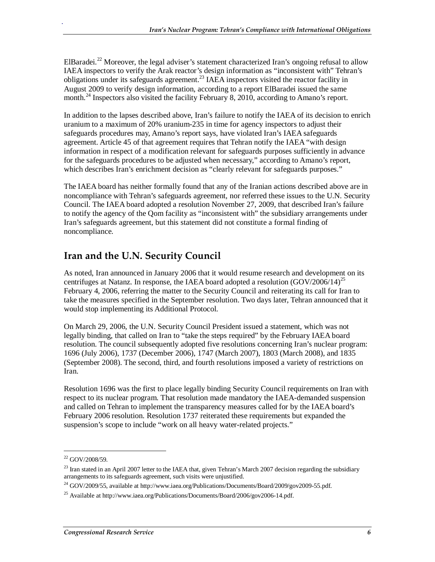ElBaradei.<sup>22</sup> Moreover, the legal adviser's statement characterized Iran's ongoing refusal to allow IAEA inspectors to verify the Arak reactor's design information as "inconsistent with" Tehran's obligations under its safeguards agreement.<sup>23</sup> IAEA inspectors visited the reactor facility in August 2009 to verify design information, according to a report ElBaradei issued the same month.<sup>24</sup> Inspectors also visited the facility February 8, 2010, according to Amano's report.

In addition to the lapses described above, Iran's failure to notify the IAEA of its decision to enrich uranium to a maximum of 20% uranium-235 in time for agency inspectors to adjust their safeguards procedures may, Amano's report says, have violated Iran's IAEA safeguards agreement. Article 45 of that agreement requires that Tehran notify the IAEA "with design information in respect of a modification relevant for safeguards purposes sufficiently in advance for the safeguards procedures to be adjusted when necessary," according to Amano's report, which describes Iran's enrichment decision as "clearly relevant for safeguards purposes."

The IAEA board has neither formally found that any of the Iranian actions described above are in noncompliance with Tehran's safeguards agreement, nor referred these issues to the U.N. Security Council. The IAEA board adopted a resolution November 27, 2009, that described Iran's failure to notify the agency of the Qom facility as "inconsistent with" the subsidiary arrangements under Iran's safeguards agreement, but this statement did not constitute a formal finding of noncompliance.

#### **Iran and the U.N. Security Council**

As noted, Iran announced in January 2006 that it would resume research and development on its centrifuges at Natanz. In response, the IAEA board adopted a resolution (GOV/2006/14)<sup>25</sup> February 4, 2006, referring the matter to the Security Council and reiterating its call for Iran to take the measures specified in the September resolution. Two days later, Tehran announced that it would stop implementing its Additional Protocol.

On March 29, 2006, the U.N. Security Council President issued a statement, which was not legally binding, that called on Iran to "take the steps required" by the February IAEA board resolution. The council subsequently adopted five resolutions concerning Iran's nuclear program: 1696 (July 2006), 1737 (December 2006), 1747 (March 2007), 1803 (March 2008), and 1835 (September 2008). The second, third, and fourth resolutions imposed a variety of restrictions on Iran.

Resolution 1696 was the first to place legally binding Security Council requirements on Iran with respect to its nuclear program. That resolution made mandatory the IAEA-demanded suspension and called on Tehran to implement the transparency measures called for by the IAEA board's February 2006 resolution. Resolution 1737 reiterated these requirements but expanded the suspension's scope to include "work on all heavy water-related projects."

1

<sup>22</sup> GOV/2008/59.

<sup>&</sup>lt;sup>23</sup> Iran stated in an April 2007 letter to the IAEA that, given Tehran's March 2007 decision regarding the subsidiary arrangements to its safeguards agreement, such visits were unjustified.

<sup>&</sup>lt;sup>24</sup> GOV/2009/55, available at http://www.iaea.org/Publications/Documents/Board/2009/gov2009-55.pdf.

<sup>&</sup>lt;sup>25</sup> Available at http://www.iaea.org/Publications/Documents/Board/2006/gov2006-14.pdf.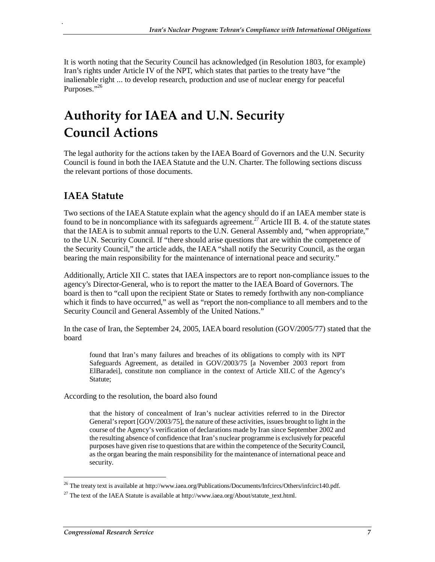It is worth noting that the Security Council has acknowledged (in Resolution 1803, for example) Iran's rights under Article IV of the NPT, which states that parties to the treaty have "the inalienable right ... to develop research, production and use of nuclear energy for peaceful Purposes."<sup>26</sup>

### **Authority for IAEA and U.N. Security Council Actions**

The legal authority for the actions taken by the IAEA Board of Governors and the U.N. Security Council is found in both the IAEA Statute and the U.N. Charter. The following sections discuss the relevant portions of those documents.

#### **IAEA Statute**

.

Two sections of the IAEA Statute explain what the agency should do if an IAEA member state is found to be in noncompliance with its safeguards agreement.<sup>27</sup> Article III B. 4. of the statute states that the IAEA is to submit annual reports to the U.N. General Assembly and, "when appropriate," to the U.N. Security Council. If "there should arise questions that are within the competence of the Security Council," the article adds, the IAEA "shall notify the Security Council, as the organ bearing the main responsibility for the maintenance of international peace and security."

Additionally, Article XII C. states that IAEA inspectors are to report non-compliance issues to the agency's Director-General, who is to report the matter to the IAEA Board of Governors. The board is then to "call upon the recipient State or States to remedy forthwith any non-compliance which it finds to have occurred," as well as "report the non-compliance to all members and to the Security Council and General Assembly of the United Nations."

In the case of Iran, the September 24, 2005, IAEA board resolution (GOV/2005/77) stated that the board

found that Iran's many failures and breaches of its obligations to comply with its NPT Safeguards Agreement, as detailed in GOV/2003/75 [a November 2003 report from ElBaradei], constitute non compliance in the context of Article XII.C of the Agency's Statute;

According to the resolution, the board also found

that the history of concealment of Iran's nuclear activities referred to in the Director General's report [GOV/2003/75], the nature of these activities, issues brought to light in the course of the Agency's verification of declarations made by Iran since September 2002 and the resulting absence of confidence that Iran's nuclear programme is exclusively for peaceful purposes have given rise to questions that are within the competence of the Security Council, as the organ bearing the main responsibility for the maintenance of international peace and security.

1

<sup>&</sup>lt;sup>26</sup> The treaty text is available at http://www.iaea.org/Publications/Documents/Infcircs/Others/infcirc140.pdf.

<sup>&</sup>lt;sup>27</sup> The text of the IAEA Statute is available at http://www.iaea.org/About/statute\_text.html.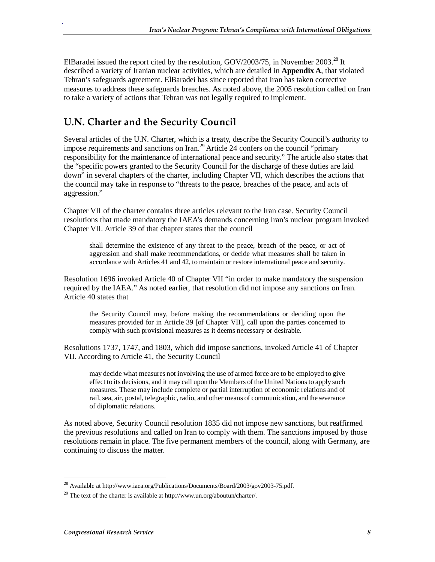ElBaradei issued the report cited by the resolution, GOV/2003/75, in November 2003.<sup>28</sup> It described a variety of Iranian nuclear activities, which are detailed in **Appendix A**, that violated Tehran's safeguards agreement. ElBaradei has since reported that Iran has taken corrective measures to address these safeguards breaches. As noted above, the 2005 resolution called on Iran to take a variety of actions that Tehran was not legally required to implement.

#### **U.N. Charter and the Security Council**

Several articles of the U.N. Charter, which is a treaty, describe the Security Council's authority to impose requirements and sanctions on Iran.<sup>29</sup> Article 24 confers on the council "primary responsibility for the maintenance of international peace and security." The article also states that the "specific powers granted to the Security Council for the discharge of these duties are laid down" in several chapters of the charter, including Chapter VII, which describes the actions that the council may take in response to "threats to the peace, breaches of the peace, and acts of aggression."

Chapter VII of the charter contains three articles relevant to the Iran case. Security Council resolutions that made mandatory the IAEA's demands concerning Iran's nuclear program invoked Chapter VII. Article 39 of that chapter states that the council

shall determine the existence of any threat to the peace, breach of the peace, or act of aggression and shall make recommendations, or decide what measures shall be taken in accordance with Articles 41 and 42, to maintain or restore international peace and security.

Resolution 1696 invoked Article 40 of Chapter VII "in order to make mandatory the suspension required by the IAEA." As noted earlier, that resolution did not impose any sanctions on Iran. Article 40 states that

the Security Council may, before making the recommendations or deciding upon the measures provided for in Article 39 [of Chapter VII], call upon the parties concerned to comply with such provisional measures as it deems necessary or desirable.

Resolutions 1737, 1747, and 1803, which did impose sanctions, invoked Article 41 of Chapter VII. According to Article 41, the Security Council

may decide what measures not involving the use of armed force are to be employed to give effect to its decisions, and it may call upon the Members of the United Nations to apply such measures. These may include complete or partial interruption of economic relations and of rail, sea, air, postal, telegraphic, radio, and other means of communication, and the severance of diplomatic relations.

As noted above, Security Council resolution 1835 did not impose new sanctions, but reaffirmed the previous resolutions and called on Iran to comply with them. The sanctions imposed by those resolutions remain in place. The five permanent members of the council, along with Germany, are continuing to discuss the matter.

1

<sup>&</sup>lt;sup>28</sup> Available at http://www.iaea.org/Publications/Documents/Board/2003/gov2003-75.pdf.

<sup>&</sup>lt;sup>29</sup> The text of the charter is available at http://www.un.org/aboutun/charter/.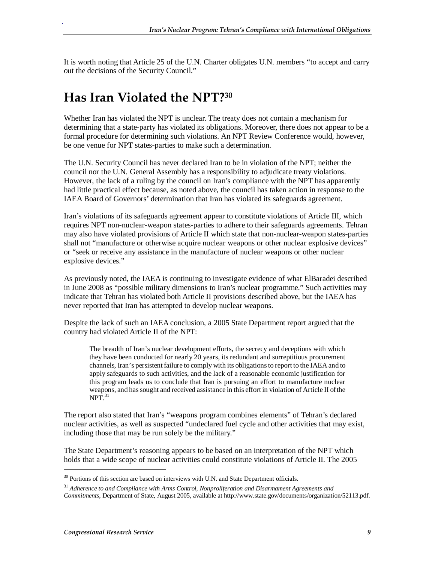It is worth noting that Article 25 of the U.N. Charter obligates U.N. members "to accept and carry out the decisions of the Security Council."

### **Has Iran Violated the NPT?30**

Whether Iran has violated the NPT is unclear. The treaty does not contain a mechanism for determining that a state-party has violated its obligations. Moreover, there does not appear to be a formal procedure for determining such violations. An NPT Review Conference would, however, be one venue for NPT states-parties to make such a determination.

The U.N. Security Council has never declared Iran to be in violation of the NPT; neither the council nor the U.N. General Assembly has a responsibility to adjudicate treaty violations. However, the lack of a ruling by the council on Iran's compliance with the NPT has apparently had little practical effect because, as noted above, the council has taken action in response to the IAEA Board of Governors' determination that Iran has violated its safeguards agreement.

Iran's violations of its safeguards agreement appear to constitute violations of Article III, which requires NPT non-nuclear-weapon states-parties to adhere to their safeguards agreements. Tehran may also have violated provisions of Article II which state that non-nuclear-weapon states-parties shall not "manufacture or otherwise acquire nuclear weapons or other nuclear explosive devices" or "seek or receive any assistance in the manufacture of nuclear weapons or other nuclear explosive devices."

As previously noted, the IAEA is continuing to investigate evidence of what ElBaradei described in June 2008 as "possible military dimensions to Iran's nuclear programme." Such activities may indicate that Tehran has violated both Article II provisions described above, but the IAEA has never reported that Iran has attempted to develop nuclear weapons.

Despite the lack of such an IAEA conclusion, a 2005 State Department report argued that the country had violated Article II of the NPT:

The breadth of Iran's nuclear development efforts, the secrecy and deceptions with which they have been conducted for nearly 20 years, its redundant and surreptitious procurement channels, Iran's persistent failure to comply with its obligations to report to the IAEA and to apply safeguards to such activities, and the lack of a reasonable economic justification for this program leads us to conclude that Iran is pursuing an effort to manufacture nuclear weapons, and has sought and received assistance in this effort in violation of Article II of the  $NPT.<sup>31</sup>$ 

The report also stated that Iran's "weapons program combines elements" of Tehran's declared nuclear activities, as well as suspected "undeclared fuel cycle and other activities that may exist, including those that may be run solely be the military."

The State Department's reasoning appears to be based on an interpretation of the NPT which holds that a wide scope of nuclear activities could constitute violations of Article II. The 2005

1

 $30$  Portions of this section are based on interviews with U.N. and State Department officials.

<sup>31</sup> *Adherence to and Compliance with Arms Control, Nonproliferation and Disarmament Agreements and Commitments*, Department of State, August 2005, available at http://www.state.gov/documents/organization/52113.pdf.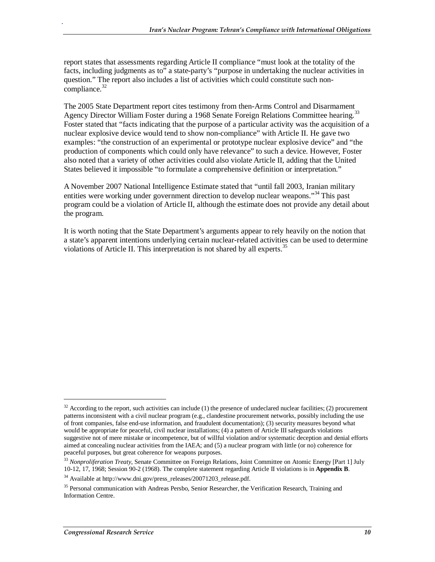report states that assessments regarding Article II compliance "must look at the totality of the facts, including judgments as to" a state-party's "purpose in undertaking the nuclear activities in question." The report also includes a list of activities which could constitute such noncompliance. $32$ 

The 2005 State Department report cites testimony from then-Arms Control and Disarmament Agency Director William Foster during a 1968 Senate Foreign Relations Committee hearing.<sup>33</sup> Foster stated that "facts indicating that the purpose of a particular activity was the acquisition of a nuclear explosive device would tend to show non-compliance" with Article II. He gave two examples: "the construction of an experimental or prototype nuclear explosive device" and "the production of components which could only have relevance" to such a device. However, Foster also noted that a variety of other activities could also violate Article II, adding that the United States believed it impossible "to formulate a comprehensive definition or interpretation."

A November 2007 National Intelligence Estimate stated that "until fall 2003, Iranian military entities were working under government direction to develop nuclear weapons."<sup>34</sup> This past program could be a violation of Article II, although the estimate does not provide any detail about the program.

It is worth noting that the State Department's arguments appear to rely heavily on the notion that a state's apparent intentions underlying certain nuclear-related activities can be used to determine violations of Article II. This interpretation is not shared by all experts.<sup>35</sup>

<u>.</u>

 $32$  According to the report, such activities can include (1) the presence of undeclared nuclear facilities; (2) procurement patterns inconsistent with a civil nuclear program (e.g., clandestine procurement networks, possibly including the use of front companies, false end-use information, and fraudulent documentation); (3) security measures beyond what would be appropriate for peaceful, civil nuclear installations; (4) a pattern of Article III safeguards violations suggestive not of mere mistake or incompetence, but of willful violation and/or systematic deception and denial efforts aimed at concealing nuclear activities from the IAEA; and (5) a nuclear program with little (or no) coherence for peaceful purposes, but great coherence for weapons purposes.

<sup>33</sup> *Nonproliferation Treaty*, Senate Committee on Foreign Relations, Joint Committee on Atomic Energy [Part 1] July 10-12, 17, 1968; Session 90-2 (1968). The complete statement regarding Article II violations is in **Appendix B**.

 $34$  Available at http://www.dni.gov/press\_releases/20071203\_release.pdf.

<sup>&</sup>lt;sup>35</sup> Personal communication with Andreas Persbo, Senior Researcher, the Verification Research, Training and Information Centre.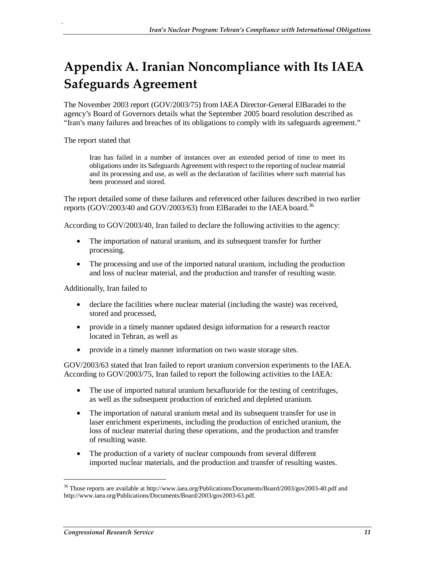## **Appendix A. Iranian Noncompliance with Its IAEA Safeguards Agreement**

The November 2003 report (GOV/2003/75) from IAEA Director-General ElBaradei to the agency's Board of Governors details what the September 2005 board resolution described as "Iran's many failures and breaches of its obligations to comply with its safeguards agreement."

The report stated that

.

Iran has failed in a number of instances over an extended period of time to meet its obligations under its Safeguards Agreement with respect to the reporting of nuclear material and its processing and use, as well as the declaration of facilities where such material has been processed and stored.

The report detailed some of these failures and referenced other failures described in two earlier reports (GOV/2003/40 and GOV/2003/63) from ElBaradei to the IAEA board.<sup>36</sup>

According to GOV/2003/40, Iran failed to declare the following activities to the agency:

- The importation of natural uranium, and its subsequent transfer for further processing.
- The processing and use of the imported natural uranium, including the production and loss of nuclear material, and the production and transfer of resulting waste.

Additionally, Iran failed to

- declare the facilities where nuclear material (including the waste) was received, stored and processed,
- provide in a timely manner updated design information for a research reactor located in Tehran, as well as
- provide in a timely manner information on two waste storage sites.

GOV/2003/63 stated that Iran failed to report uranium conversion experiments to the IAEA. According to GOV/2003/75, Iran failed to report the following activities to the IAEA:

- The use of imported natural uranium hexafluoride for the testing of centrifuges, as well as the subsequent production of enriched and depleted uranium.
- The importation of natural uranium metal and its subsequent transfer for use in laser enrichment experiments, including the production of enriched uranium, the loss of nuclear material during these operations, and the production and transfer of resulting waste.
- The production of a variety of nuclear compounds from several different imported nuclear materials, and the production and transfer of resulting wastes.

1

<sup>36</sup> Those reports are available at http://www.iaea.org/Publications/Documents/Board/2003/gov2003-40.pdf and http://www.iaea.org/Publications/Documents/Board/2003/gov2003-63.pdf.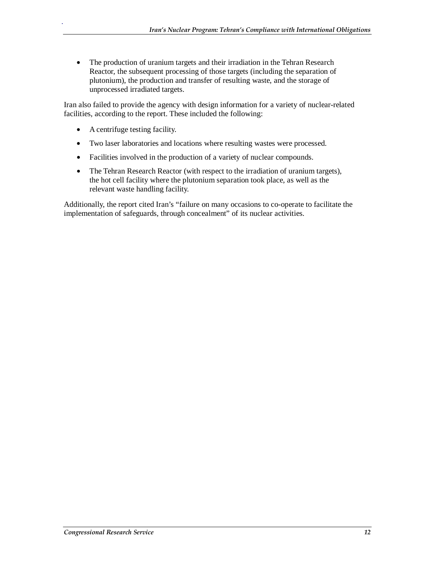• The production of uranium targets and their irradiation in the Tehran Research Reactor, the subsequent processing of those targets (including the separation of plutonium), the production and transfer of resulting waste, and the storage of unprocessed irradiated targets.

Iran also failed to provide the agency with design information for a variety of nuclear-related facilities, according to the report. These included the following:

• A centrifuge testing facility.

.

- Two laser laboratories and locations where resulting wastes were processed.
- Facilities involved in the production of a variety of nuclear compounds.
- The Tehran Research Reactor (with respect to the irradiation of uranium targets), the hot cell facility where the plutonium separation took place, as well as the relevant waste handling facility.

Additionally, the report cited Iran's "failure on many occasions to co-operate to facilitate the implementation of safeguards, through concealment" of its nuclear activities.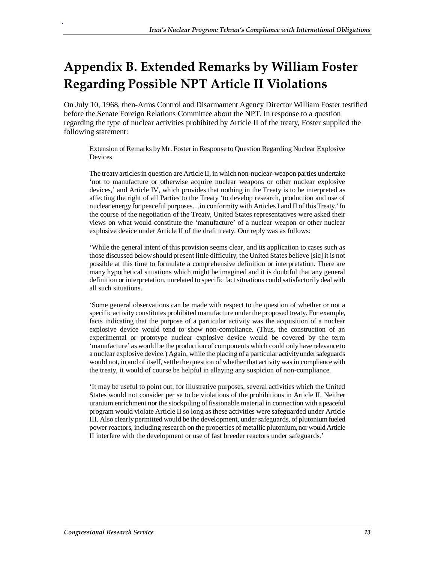### **Appendix B. Extended Remarks by William Foster Regarding Possible NPT Article II Violations**

On July 10, 1968, then-Arms Control and Disarmament Agency Director William Foster testified before the Senate Foreign Relations Committee about the NPT. In response to a question regarding the type of nuclear activities prohibited by Article II of the treaty, Foster supplied the following statement:

Extension of Remarks by Mr. Foster in Response to Question Regarding Nuclear Explosive Devices

The treaty articles in question are Article II, in which non-nuclear-weapon parties undertake 'not to manufacture or otherwise acquire nuclear weapons or other nuclear explosive devices,' and Article IV, which provides that nothing in the Treaty is to be interpreted as affecting the right of all Parties to the Treaty 'to develop research, production and use of nuclear energy for peaceful purposes…in conformity with Articles I and II of this Treaty.' In the course of the negotiation of the Treaty, United States representatives were asked their views on what would constitute the 'manufacture' of a nuclear weapon or other nuclear explosive device under Article II of the draft treaty. Our reply was as follows:

'While the general intent of this provision seems clear, and its application to cases such as those discussed below should present little difficulty, the United States believe [sic] it is not possible at this time to formulate a comprehensive definition or interpretation. There are many hypothetical situations which might be imagined and it is doubtful that any general definition or interpretation, unrelated to specific fact situations could satisfactorily deal with all such situations.

'Some general observations can be made with respect to the question of whether or not a specific activity constitutes prohibited manufacture under the proposed treaty. For example, facts indicating that the purpose of a particular activity was the acquisition of a nuclear explosive device would tend to show non-compliance. (Thus, the construction of an experimental or prototype nuclear explosive device would be covered by the term 'manufacture' as would be the production of components which could only have relevance to a nuclear explosive device.) Again, while the placing of a particular activity under safeguards would not, in and of itself, settle the question of whether that activity was in compliance with the treaty, it would of course be helpful in allaying any suspicion of non-compliance.

'It may be useful to point out, for illustrative purposes, several activities which the United States would not consider per se to be violations of the prohibitions in Article II. Neither uranium enrichment nor the stockpiling of fissionable material in connection with a peaceful program would violate Article II so long as these activities were safeguarded under Article III. Also clearly permitted would be the development, under safeguards, of plutonium fueled power reactors, including research on the properties of metallic plutonium, nor would Article II interfere with the development or use of fast breeder reactors under safeguards.'